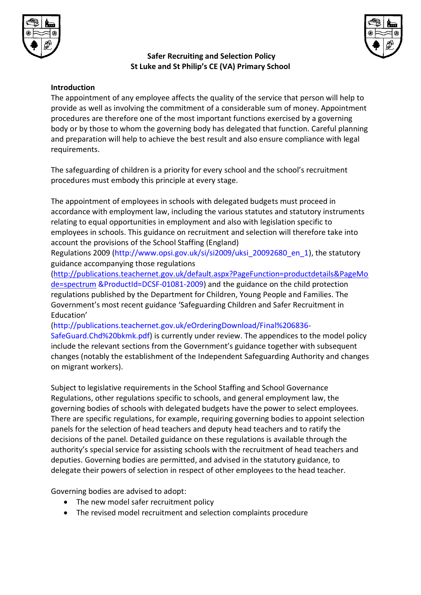



## **Safer Recruiting and Selection Policy St Luke and St Philip's CE (VA) Primary School**

### **Introduction**

The appointment of any employee affects the quality of the service that person will help to provide as well as involving the commitment of a considerable sum of money. Appointment procedures are therefore one of the most important functions exercised by a governing body or by those to whom the governing body has delegated that function. Careful planning and preparation will help to achieve the best result and also ensure compliance with legal requirements.

The safeguarding of children is a priority for every school and the school's recruitment procedures must embody this principle at every stage.

The appointment of employees in schools with delegated budgets must proceed in accordance with employment law, including the various statutes and statutory instruments relating to equal opportunities in employment and also with legislation specific to employees in schools. This guidance on recruitment and selection will therefore take into account the provisions of the School Staffing (England)

Regulations 2009 (http://www.opsi.gov.uk/si/si2009/uksi\_20092680\_en\_1), the statutory guidance accompanying those regulations

[\(http://publications.teachernet.gov.uk/default.aspx?PageFunction=productdetails&PageMo](http://publications.teachernet.gov.uk/default.aspx?PageFunction=productdetails&PageMode=spectrum) [de=spectrum](http://publications.teachernet.gov.uk/default.aspx?PageFunction=productdetails&PageMode=spectrum) &ProductId=DCSF-01081-2009) and the guidance on the child protection regulations published by the Department for Children, Young People and Families. The Government's most recent guidance 'Safeguarding Children and Safer Recruitment in Education'

(http://publications.teachernet.gov.uk/eOrderingDownload/Final%206836-

SafeGuard.Chd%20bkmk.pdf) is currently under review. The appendices to the model policy include the relevant sections from the Government's guidance together with subsequent changes (notably the establishment of the Independent Safeguarding Authority and changes on migrant workers).

Subject to legislative requirements in the School Staffing and School Governance Regulations, other regulations specific to schools, and general employment law, the governing bodies of schools with delegated budgets have the power to select employees. There are specific regulations, for example, requiring governing bodies to appoint selection panels for the selection of head teachers and deputy head teachers and to ratify the decisions of the panel. Detailed guidance on these regulations is available through the authority's special service for assisting schools with the recruitment of head teachers and deputies. Governing bodies are permitted, and advised in the statutory guidance, to delegate their powers of selection in respect of other employees to the head teacher.

Governing bodies are advised to adopt:

- The new model safer recruitment policy
- The revised model recruitment and selection complaints procedure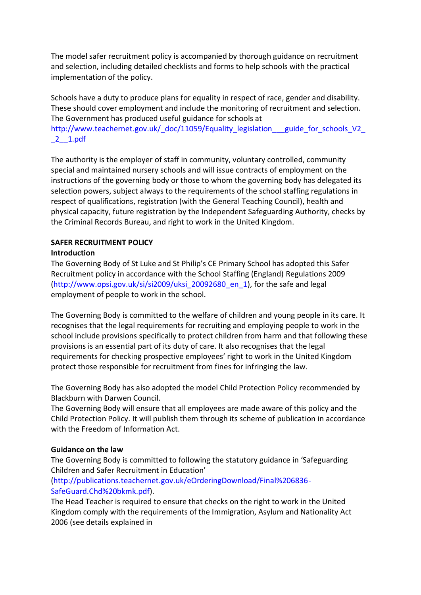The model safer recruitment policy is accompanied by thorough guidance on recruitment and selection, including detailed checklists and forms to help schools with the practical implementation of the policy.

Schools have a duty to produce plans for equality in respect of race, gender and disability. These should cover employment and include the monitoring of recruitment and selection. The Government has produced useful guidance for schools at http://www.teachernet.gov.uk/ doc/11059/Equality legislation guide for schools V2

## \_2\_\_1.pdf

The authority is the employer of staff in community, voluntary controlled, community special and maintained nursery schools and will issue contracts of employment on the instructions of the governing body or those to whom the governing body has delegated its selection powers, subject always to the requirements of the school staffing regulations in respect of qualifications, registration (with the General Teaching Council), health and physical capacity, future registration by the Independent Safeguarding Authority, checks by the Criminal Records Bureau, and right to work in the United Kingdom.

# **SAFER RECRUITMENT POLICY**

# **Introduction**

The Governing Body of St Luke and St Philip's CE Primary School has adopted this Safer Recruitment policy in accordance with the School Staffing (England) Regulations 2009 (http://www.opsi.gov.uk/si/si2009/uksi\_20092680\_en\_1), for the safe and legal employment of people to work in the school.

The Governing Body is committed to the welfare of children and young people in its care. It recognises that the legal requirements for recruiting and employing people to work in the school include provisions specifically to protect children from harm and that following these provisions is an essential part of its duty of care. It also recognises that the legal requirements for checking prospective employees' right to work in the United Kingdom protect those responsible for recruitment from fines for infringing the law.

The Governing Body has also adopted the model Child Protection Policy recommended by Blackburn with Darwen Council.

The Governing Body will ensure that all employees are made aware of this policy and the Child Protection Policy. It will publish them through its scheme of publication in accordance with the Freedom of Information Act.

### **Guidance on the law**

The Governing Body is committed to following the statutory guidance in 'Safeguarding Children and Safer Recruitment in Education'

(http://publications.teachernet.gov.uk/eOrderingDownload/Final%206836- SafeGuard.Chd%20bkmk.pdf).

The Head Teacher is required to ensure that checks on the right to work in the United Kingdom comply with the requirements of the Immigration, Asylum and Nationality Act 2006 (see details explained in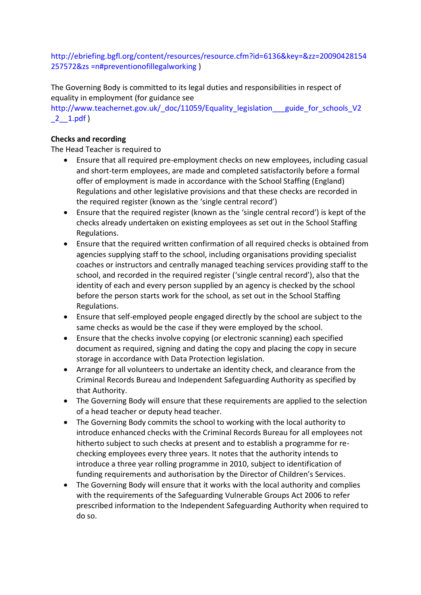http://ebriefing.bgfl.org/content/resources/resource.cfm?id=6136&key=&zz=20090428154 257572&zs =n#preventionofillegalworking )

The Governing Body is committed to its legal duties and responsibilities in respect of equality in employment (for guidance see

http://www.teachernet.gov.uk/ doc/11059/Equality legislation guide for schools V2 \_2\_\_1.pdf )

## **Checks and recording**

The Head Teacher is required to

- Ensure that all required pre-employment checks on new employees, including casual and short-term employees, are made and completed satisfactorily before a formal offer of employment is made in accordance with the School Staffing (England) Regulations and other legislative provisions and that these checks are recorded in the required register (known as the 'single central record')
- Ensure that the required register (known as the 'single central record') is kept of the checks already undertaken on existing employees as set out in the School Staffing Regulations.
- Ensure that the required written confirmation of all required checks is obtained from agencies supplying staff to the school, including organisations providing specialist coaches or instructors and centrally managed teaching services providing staff to the school, and recorded in the required register ('single central record'), also that the identity of each and every person supplied by an agency is checked by the school before the person starts work for the school, as set out in the School Staffing Regulations.
- Ensure that self-employed people engaged directly by the school are subject to the same checks as would be the case if they were employed by the school.
- Ensure that the checks involve copying (or electronic scanning) each specified document as required, signing and dating the copy and placing the copy in secure storage in accordance with Data Protection legislation.
- Arrange for all volunteers to undertake an identity check, and clearance from the Criminal Records Bureau and Independent Safeguarding Authority as specified by that Authority.
- The Governing Body will ensure that these requirements are applied to the selection of a head teacher or deputy head teacher.
- The Governing Body commits the school to working with the local authority to introduce enhanced checks with the Criminal Records Bureau for all employees not hitherto subject to such checks at present and to establish a programme for rechecking employees every three years. It notes that the authority intends to introduce a three year rolling programme in 2010, subject to identification of funding requirements and authorisation by the Director of Children's Services.
- The Governing Body will ensure that it works with the local authority and complies with the requirements of the Safeguarding Vulnerable Groups Act 2006 to refer prescribed information to the Independent Safeguarding Authority when required to do so.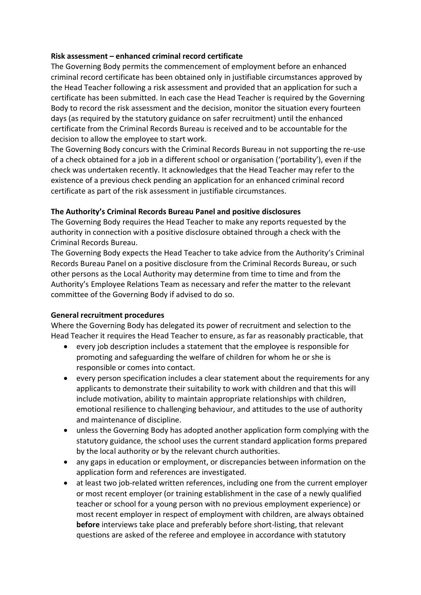### **Risk assessment – enhanced criminal record certificate**

The Governing Body permits the commencement of employment before an enhanced criminal record certificate has been obtained only in justifiable circumstances approved by the Head Teacher following a risk assessment and provided that an application for such a certificate has been submitted. In each case the Head Teacher is required by the Governing Body to record the risk assessment and the decision, monitor the situation every fourteen days (as required by the statutory guidance on safer recruitment) until the enhanced certificate from the Criminal Records Bureau is received and to be accountable for the decision to allow the employee to start work.

The Governing Body concurs with the Criminal Records Bureau in not supporting the re-use of a check obtained for a job in a different school or organisation ('portability'), even if the check was undertaken recently. It acknowledges that the Head Teacher may refer to the existence of a previous check pending an application for an enhanced criminal record certificate as part of the risk assessment in justifiable circumstances.

### **The Authority's Criminal Records Bureau Panel and positive disclosures**

The Governing Body requires the Head Teacher to make any reports requested by the authority in connection with a positive disclosure obtained through a check with the Criminal Records Bureau.

The Governing Body expects the Head Teacher to take advice from the Authority's Criminal Records Bureau Panel on a positive disclosure from the Criminal Records Bureau, or such other persons as the Local Authority may determine from time to time and from the Authority's Employee Relations Team as necessary and refer the matter to the relevant committee of the Governing Body if advised to do so.

#### **General recruitment procedures**

Where the Governing Body has delegated its power of recruitment and selection to the Head Teacher it requires the Head Teacher to ensure, as far as reasonably practicable, that

- every job description includes a statement that the employee is responsible for promoting and safeguarding the welfare of children for whom he or she is responsible or comes into contact.
- every person specification includes a clear statement about the requirements for any applicants to demonstrate their suitability to work with children and that this will include motivation, ability to maintain appropriate relationships with children, emotional resilience to challenging behaviour, and attitudes to the use of authority and maintenance of discipline.
- unless the Governing Body has adopted another application form complying with the statutory guidance, the school uses the current standard application forms prepared by the local authority or by the relevant church authorities.
- any gaps in education or employment, or discrepancies between information on the application form and references are investigated.
- at least two job-related written references, including one from the current employer or most recent employer (or training establishment in the case of a newly qualified teacher or school for a young person with no previous employment experience) or most recent employer in respect of employment with children, are always obtained **before** interviews take place and preferably before short-listing, that relevant questions are asked of the referee and employee in accordance with statutory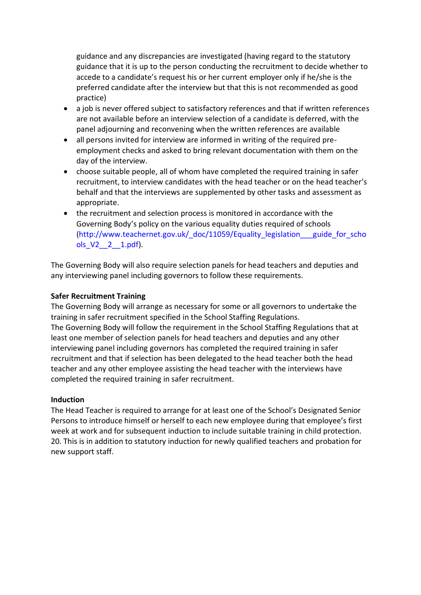guidance and any discrepancies are investigated (having regard to the statutory guidance that it is up to the person conducting the recruitment to decide whether to accede to a candidate's request his or her current employer only if he/she is the preferred candidate after the interview but that this is not recommended as good practice)

- a job is never offered subject to satisfactory references and that if written references are not available before an interview selection of a candidate is deferred, with the panel adjourning and reconvening when the written references are available
- all persons invited for interview are informed in writing of the required preemployment checks and asked to bring relevant documentation with them on the day of the interview.
- choose suitable people, all of whom have completed the required training in safer recruitment, to interview candidates with the head teacher or on the head teacher's behalf and that the interviews are supplemented by other tasks and assessment as appropriate.
- the recruitment and selection process is monitored in accordance with the Governing Body's policy on the various equality duties required of schools (http://www.teachernet.gov.uk/\_doc/11059/Equality\_legislation\_\_\_guide\_for\_scho ols\_V2\_\_2\_\_1.pdf).

The Governing Body will also require selection panels for head teachers and deputies and any interviewing panel including governors to follow these requirements.

### **Safer Recruitment Training**

The Governing Body will arrange as necessary for some or all governors to undertake the training in safer recruitment specified in the School Staffing Regulations. The Governing Body will follow the requirement in the School Staffing Regulations that at least one member of selection panels for head teachers and deputies and any other interviewing panel including governors has completed the required training in safer recruitment and that if selection has been delegated to the head teacher both the head teacher and any other employee assisting the head teacher with the interviews have completed the required training in safer recruitment.

#### **Induction**

The Head Teacher is required to arrange for at least one of the School's Designated Senior Persons to introduce himself or herself to each new employee during that employee's first week at work and for subsequent induction to include suitable training in child protection. 20. This is in addition to statutory induction for newly qualified teachers and probation for new support staff.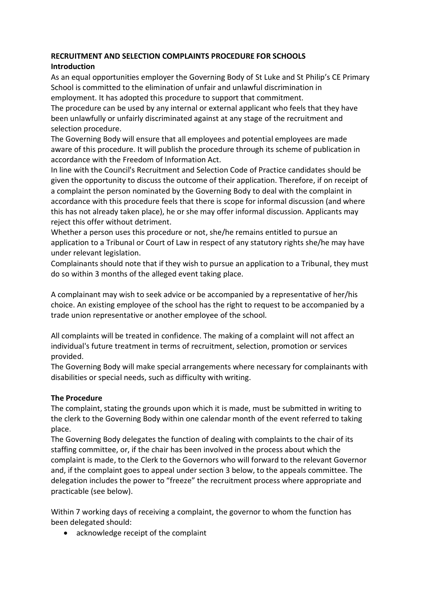# **RECRUITMENT AND SELECTION COMPLAINTS PROCEDURE FOR SCHOOLS**

# **Introduction**

As an equal opportunities employer the Governing Body of St Luke and St Philip's CE Primary School is committed to the elimination of unfair and unlawful discrimination in employment. It has adopted this procedure to support that commitment.

The procedure can be used by any internal or external applicant who feels that they have been unlawfully or unfairly discriminated against at any stage of the recruitment and selection procedure.

The Governing Body will ensure that all employees and potential employees are made aware of this procedure. It will publish the procedure through its scheme of publication in accordance with the Freedom of Information Act.

In line with the Council's Recruitment and Selection Code of Practice candidates should be given the opportunity to discuss the outcome of their application. Therefore, if on receipt of a complaint the person nominated by the Governing Body to deal with the complaint in accordance with this procedure feels that there is scope for informal discussion (and where this has not already taken place), he or she may offer informal discussion. Applicants may reject this offer without detriment.

Whether a person uses this procedure or not, she/he remains entitled to pursue an application to a Tribunal or Court of Law in respect of any statutory rights she/he may have under relevant legislation.

Complainants should note that if they wish to pursue an application to a Tribunal, they must do so within 3 months of the alleged event taking place.

A complainant may wish to seek advice or be accompanied by a representative of her/his choice. An existing employee of the school has the right to request to be accompanied by a trade union representative or another employee of the school.

All complaints will be treated in confidence. The making of a complaint will not affect an individual's future treatment in terms of recruitment, selection, promotion or services provided.

The Governing Body will make special arrangements where necessary for complainants with disabilities or special needs, such as difficulty with writing.

# **The Procedure**

The complaint, stating the grounds upon which it is made, must be submitted in writing to the clerk to the Governing Body within one calendar month of the event referred to taking place.

The Governing Body delegates the function of dealing with complaints to the chair of its staffing committee, or, if the chair has been involved in the process about which the complaint is made, to the Clerk to the Governors who will forward to the relevant Governor and, if the complaint goes to appeal under section 3 below, to the appeals committee. The delegation includes the power to "freeze" the recruitment process where appropriate and practicable (see below).

Within 7 working days of receiving a complaint, the governor to whom the function has been delegated should:

• acknowledge receipt of the complaint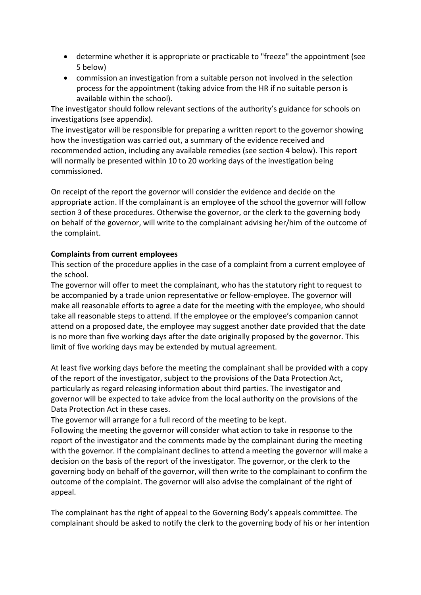- determine whether it is appropriate or practicable to "freeze" the appointment (see 5 below)
- commission an investigation from a suitable person not involved in the selection process for the appointment (taking advice from the HR if no suitable person is available within the school).

The investigator should follow relevant sections of the authority's guidance for schools on investigations (see appendix).

The investigator will be responsible for preparing a written report to the governor showing how the investigation was carried out, a summary of the evidence received and recommended action, including any available remedies (see section 4 below). This report will normally be presented within 10 to 20 working days of the investigation being commissioned.

On receipt of the report the governor will consider the evidence and decide on the appropriate action. If the complainant is an employee of the school the governor will follow section 3 of these procedures. Otherwise the governor, or the clerk to the governing body on behalf of the governor, will write to the complainant advising her/him of the outcome of the complaint.

# **Complaints from current employees**

This section of the procedure applies in the case of a complaint from a current employee of the school.

The governor will offer to meet the complainant, who has the statutory right to request to be accompanied by a trade union representative or fellow-employee. The governor will make all reasonable efforts to agree a date for the meeting with the employee, who should take all reasonable steps to attend. If the employee or the employee's companion cannot attend on a proposed date, the employee may suggest another date provided that the date is no more than five working days after the date originally proposed by the governor. This limit of five working days may be extended by mutual agreement.

At least five working days before the meeting the complainant shall be provided with a copy of the report of the investigator, subject to the provisions of the Data Protection Act, particularly as regard releasing information about third parties. The investigator and governor will be expected to take advice from the local authority on the provisions of the Data Protection Act in these cases.

The governor will arrange for a full record of the meeting to be kept.

Following the meeting the governor will consider what action to take in response to the report of the investigator and the comments made by the complainant during the meeting with the governor. If the complainant declines to attend a meeting the governor will make a decision on the basis of the report of the investigator. The governor, or the clerk to the governing body on behalf of the governor, will then write to the complainant to confirm the outcome of the complaint. The governor will also advise the complainant of the right of appeal.

The complainant has the right of appeal to the Governing Body's appeals committee. The complainant should be asked to notify the clerk to the governing body of his or her intention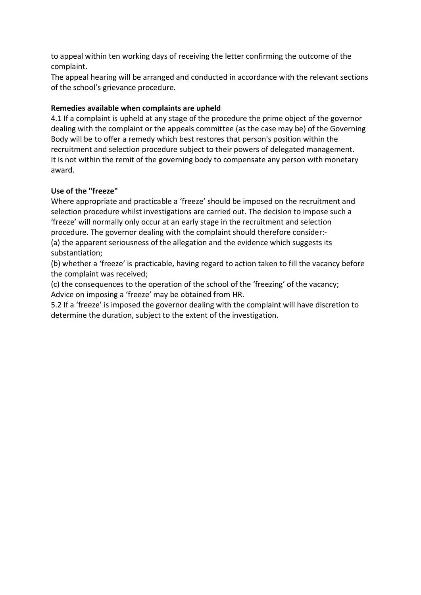to appeal within ten working days of receiving the letter confirming the outcome of the complaint.

The appeal hearing will be arranged and conducted in accordance with the relevant sections of the school's grievance procedure.

# **Remedies available when complaints are upheld**

4.1 If a complaint is upheld at any stage of the procedure the prime object of the governor dealing with the complaint or the appeals committee (as the case may be) of the Governing Body will be to offer a remedy which best restores that person's position within the recruitment and selection procedure subject to their powers of delegated management. It is not within the remit of the governing body to compensate any person with monetary award.

# **Use of the "freeze"**

Where appropriate and practicable a 'freeze' should be imposed on the recruitment and selection procedure whilst investigations are carried out. The decision to impose such a 'freeze' will normally only occur at an early stage in the recruitment and selection procedure. The governor dealing with the complaint should therefore consider:- (a) the apparent seriousness of the allegation and the evidence which suggests its substantiation;

(b) whether a 'freeze' is practicable, having regard to action taken to fill the vacancy before the complaint was received;

(c) the consequences to the operation of the school of the 'freezing' of the vacancy; Advice on imposing a 'freeze' may be obtained from HR.

5.2 If a 'freeze' is imposed the governor dealing with the complaint will have discretion to determine the duration, subject to the extent of the investigation.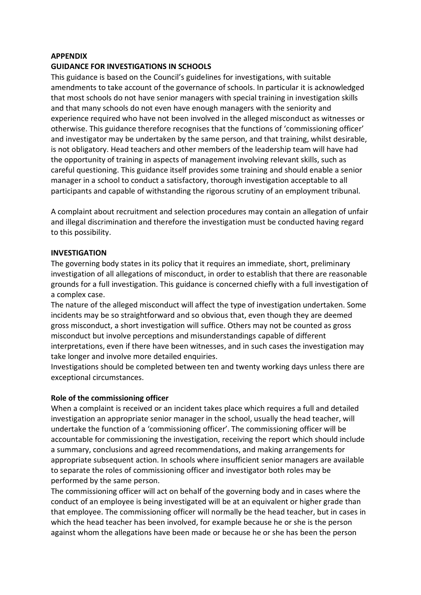#### **APPENDIX**

#### **GUIDANCE FOR INVESTIGATIONS IN SCHOOLS**

This guidance is based on the Council's guidelines for investigations, with suitable amendments to take account of the governance of schools. In particular it is acknowledged that most schools do not have senior managers with special training in investigation skills and that many schools do not even have enough managers with the seniority and experience required who have not been involved in the alleged misconduct as witnesses or otherwise. This guidance therefore recognises that the functions of 'commissioning officer' and investigator may be undertaken by the same person, and that training, whilst desirable, is not obligatory. Head teachers and other members of the leadership team will have had the opportunity of training in aspects of management involving relevant skills, such as careful questioning. This guidance itself provides some training and should enable a senior manager in a school to conduct a satisfactory, thorough investigation acceptable to all participants and capable of withstanding the rigorous scrutiny of an employment tribunal.

A complaint about recruitment and selection procedures may contain an allegation of unfair and illegal discrimination and therefore the investigation must be conducted having regard to this possibility.

#### **INVESTIGATION**

The governing body states in its policy that it requires an immediate, short, preliminary investigation of all allegations of misconduct, in order to establish that there are reasonable grounds for a full investigation. This guidance is concerned chiefly with a full investigation of a complex case.

The nature of the alleged misconduct will affect the type of investigation undertaken. Some incidents may be so straightforward and so obvious that, even though they are deemed gross misconduct, a short investigation will suffice. Others may not be counted as gross misconduct but involve perceptions and misunderstandings capable of different interpretations, even if there have been witnesses, and in such cases the investigation may take longer and involve more detailed enquiries.

Investigations should be completed between ten and twenty working days unless there are exceptional circumstances.

#### **Role of the commissioning officer**

When a complaint is received or an incident takes place which requires a full and detailed investigation an appropriate senior manager in the school, usually the head teacher, will undertake the function of a 'commissioning officer'. The commissioning officer will be accountable for commissioning the investigation, receiving the report which should include a summary, conclusions and agreed recommendations, and making arrangements for appropriate subsequent action. In schools where insufficient senior managers are available to separate the roles of commissioning officer and investigator both roles may be performed by the same person.

The commissioning officer will act on behalf of the governing body and in cases where the conduct of an employee is being investigated will be at an equivalent or higher grade than that employee. The commissioning officer will normally be the head teacher, but in cases in which the head teacher has been involved, for example because he or she is the person against whom the allegations have been made or because he or she has been the person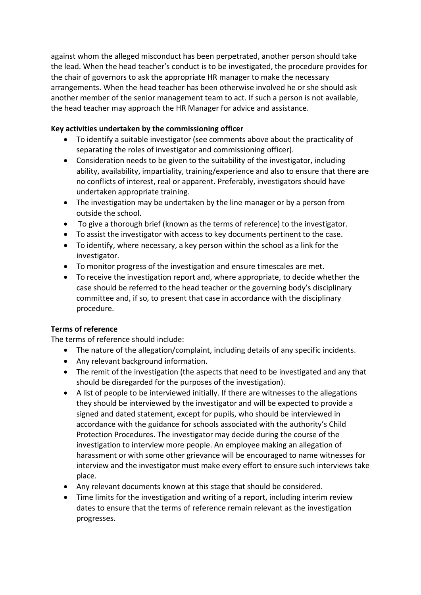against whom the alleged misconduct has been perpetrated, another person should take the lead. When the head teacher's conduct is to be investigated, the procedure provides for the chair of governors to ask the appropriate HR manager to make the necessary arrangements. When the head teacher has been otherwise involved he or she should ask another member of the senior management team to act. If such a person is not available, the head teacher may approach the HR Manager for advice and assistance.

# **Key activities undertaken by the commissioning officer**

- To identify a suitable investigator (see comments above about the practicality of separating the roles of investigator and commissioning officer).
- Consideration needs to be given to the suitability of the investigator, including ability, availability, impartiality, training/experience and also to ensure that there are no conflicts of interest, real or apparent. Preferably, investigators should have undertaken appropriate training.
- The investigation may be undertaken by the line manager or by a person from outside the school.
- To give a thorough brief (known as the terms of reference) to the investigator.
- To assist the investigator with access to key documents pertinent to the case.
- To identify, where necessary, a key person within the school as a link for the investigator.
- To monitor progress of the investigation and ensure timescales are met.
- To receive the investigation report and, where appropriate, to decide whether the case should be referred to the head teacher or the governing body's disciplinary committee and, if so, to present that case in accordance with the disciplinary procedure.

# **Terms of reference**

The terms of reference should include:

- The nature of the allegation/complaint, including details of any specific incidents.
- Any relevant background information.
- The remit of the investigation (the aspects that need to be investigated and any that should be disregarded for the purposes of the investigation).
- A list of people to be interviewed initially. If there are witnesses to the allegations they should be interviewed by the investigator and will be expected to provide a signed and dated statement, except for pupils, who should be interviewed in accordance with the guidance for schools associated with the authority's Child Protection Procedures. The investigator may decide during the course of the investigation to interview more people. An employee making an allegation of harassment or with some other grievance will be encouraged to name witnesses for interview and the investigator must make every effort to ensure such interviews take place.
- Any relevant documents known at this stage that should be considered.
- Time limits for the investigation and writing of a report, including interim review dates to ensure that the terms of reference remain relevant as the investigation progresses.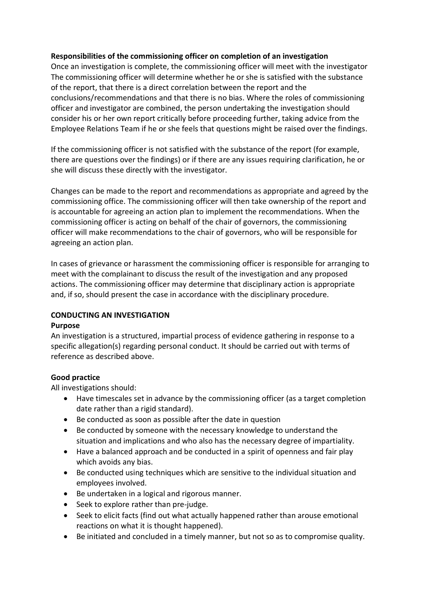### **Responsibilities of the commissioning officer on completion of an investigation**

Once an investigation is complete, the commissioning officer will meet with the investigator The commissioning officer will determine whether he or she is satisfied with the substance of the report, that there is a direct correlation between the report and the conclusions/recommendations and that there is no bias. Where the roles of commissioning officer and investigator are combined, the person undertaking the investigation should consider his or her own report critically before proceeding further, taking advice from the Employee Relations Team if he or she feels that questions might be raised over the findings.

If the commissioning officer is not satisfied with the substance of the report (for example, there are questions over the findings) or if there are any issues requiring clarification, he or she will discuss these directly with the investigator.

Changes can be made to the report and recommendations as appropriate and agreed by the commissioning office. The commissioning officer will then take ownership of the report and is accountable for agreeing an action plan to implement the recommendations. When the commissioning officer is acting on behalf of the chair of governors, the commissioning officer will make recommendations to the chair of governors, who will be responsible for agreeing an action plan.

In cases of grievance or harassment the commissioning officer is responsible for arranging to meet with the complainant to discuss the result of the investigation and any proposed actions. The commissioning officer may determine that disciplinary action is appropriate and, if so, should present the case in accordance with the disciplinary procedure.

# **CONDUCTING AN INVESTIGATION**

#### **Purpose**

An investigation is a structured, impartial process of evidence gathering in response to a specific allegation(s) regarding personal conduct. It should be carried out with terms of reference as described above.

### **Good practice**

All investigations should:

- Have timescales set in advance by the commissioning officer (as a target completion date rather than a rigid standard).
- Be conducted as soon as possible after the date in question
- Be conducted by someone with the necessary knowledge to understand the situation and implications and who also has the necessary degree of impartiality.
- Have a balanced approach and be conducted in a spirit of openness and fair play which avoids any bias.
- Be conducted using techniques which are sensitive to the individual situation and employees involved.
- Be undertaken in a logical and rigorous manner.
- Seek to explore rather than pre-judge.
- Seek to elicit facts (find out what actually happened rather than arouse emotional reactions on what it is thought happened).
- Be initiated and concluded in a timely manner, but not so as to compromise quality.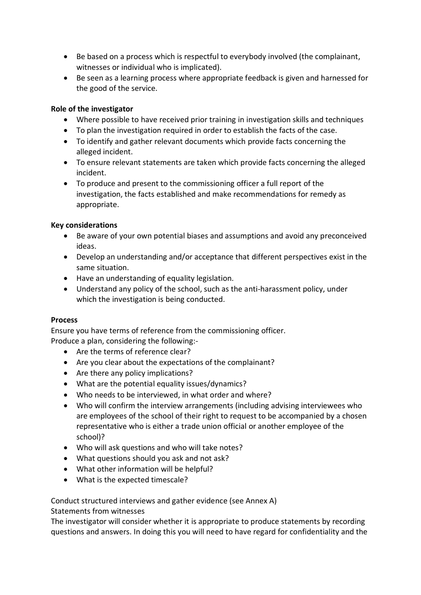- Be based on a process which is respectful to everybody involved (the complainant, witnesses or individual who is implicated).
- Be seen as a learning process where appropriate feedback is given and harnessed for the good of the service.

### **Role of the investigator**

- Where possible to have received prior training in investigation skills and techniques
- To plan the investigation required in order to establish the facts of the case.
- To identify and gather relevant documents which provide facts concerning the alleged incident.
- To ensure relevant statements are taken which provide facts concerning the alleged incident.
- To produce and present to the commissioning officer a full report of the investigation, the facts established and make recommendations for remedy as appropriate.

### **Key considerations**

- Be aware of your own potential biases and assumptions and avoid any preconceived ideas.
- Develop an understanding and/or acceptance that different perspectives exist in the same situation.
- Have an understanding of equality legislation.
- Understand any policy of the school, such as the anti-harassment policy, under which the investigation is being conducted.

### **Process**

Ensure you have terms of reference from the commissioning officer. Produce a plan, considering the following:-

- Are the terms of reference clear?
- Are you clear about the expectations of the complainant?
- Are there any policy implications?
- What are the potential equality issues/dynamics?
- Who needs to be interviewed, in what order and where?
- Who will confirm the interview arrangements (including advising interviewees who are employees of the school of their right to request to be accompanied by a chosen representative who is either a trade union official or another employee of the school)?
- Who will ask questions and who will take notes?
- What questions should you ask and not ask?
- What other information will be helpful?
- What is the expected timescale?

### Conduct structured interviews and gather evidence (see Annex A)

Statements from witnesses

The investigator will consider whether it is appropriate to produce statements by recording questions and answers. In doing this you will need to have regard for confidentiality and the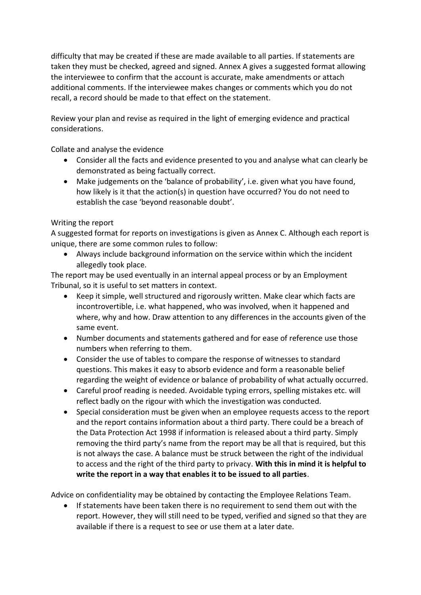difficulty that may be created if these are made available to all parties. If statements are taken they must be checked, agreed and signed. Annex A gives a suggested format allowing the interviewee to confirm that the account is accurate, make amendments or attach additional comments. If the interviewee makes changes or comments which you do not recall, a record should be made to that effect on the statement.

Review your plan and revise as required in the light of emerging evidence and practical considerations.

Collate and analyse the evidence

- Consider all the facts and evidence presented to you and analyse what can clearly be demonstrated as being factually correct.
- Make judgements on the 'balance of probability', i.e. given what you have found, how likely is it that the action(s) in question have occurred? You do not need to establish the case 'beyond reasonable doubt'.

# Writing the report

A suggested format for reports on investigations is given as Annex C. Although each report is unique, there are some common rules to follow:

 Always include background information on the service within which the incident allegedly took place.

The report may be used eventually in an internal appeal process or by an Employment Tribunal, so it is useful to set matters in context.

- Keep it simple, well structured and rigorously written. Make clear which facts are incontrovertible, i.e. what happened, who was involved, when it happened and where, why and how. Draw attention to any differences in the accounts given of the same event.
- Number documents and statements gathered and for ease of reference use those numbers when referring to them.
- Consider the use of tables to compare the response of witnesses to standard questions. This makes it easy to absorb evidence and form a reasonable belief regarding the weight of evidence or balance of probability of what actually occurred.
- Careful proof reading is needed. Avoidable typing errors, spelling mistakes etc. will reflect badly on the rigour with which the investigation was conducted.
- Special consideration must be given when an employee requests access to the report and the report contains information about a third party. There could be a breach of the Data Protection Act 1998 if information is released about a third party. Simply removing the third party's name from the report may be all that is required, but this is not always the case. A balance must be struck between the right of the individual to access and the right of the third party to privacy. **With this in mind it is helpful to write the report in a way that enables it to be issued to all parties**.

Advice on confidentiality may be obtained by contacting the Employee Relations Team.

 If statements have been taken there is no requirement to send them out with the report. However, they will still need to be typed, verified and signed so that they are available if there is a request to see or use them at a later date.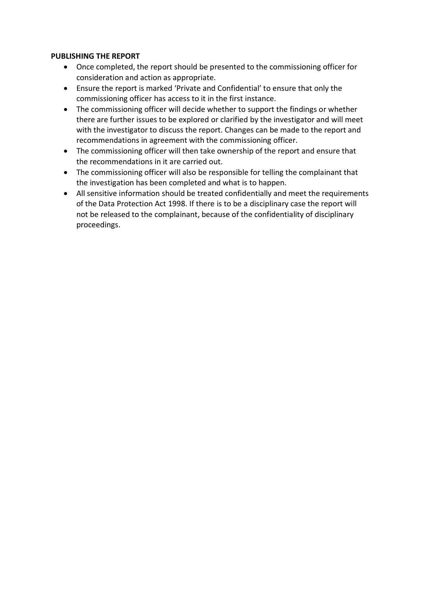### **PUBLISHING THE REPORT**

- Once completed, the report should be presented to the commissioning officer for consideration and action as appropriate.
- Ensure the report is marked 'Private and Confidential' to ensure that only the commissioning officer has access to it in the first instance.
- The commissioning officer will decide whether to support the findings or whether there are further issues to be explored or clarified by the investigator and will meet with the investigator to discuss the report. Changes can be made to the report and recommendations in agreement with the commissioning officer.
- The commissioning officer will then take ownership of the report and ensure that the recommendations in it are carried out.
- The commissioning officer will also be responsible for telling the complainant that the investigation has been completed and what is to happen.
- All sensitive information should be treated confidentially and meet the requirements of the Data Protection Act 1998. If there is to be a disciplinary case the report will not be released to the complainant, because of the confidentiality of disciplinary proceedings.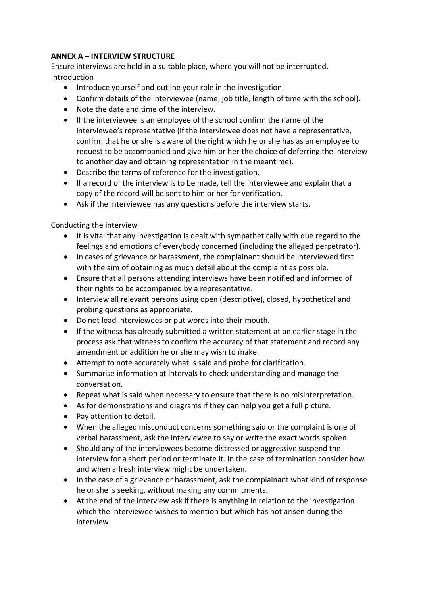# **ANNEX A – INTERVIEW STRUCTURE**

Ensure interviews are held in a suitable place, where you will not be interrupted. **Introduction** 

- Introduce yourself and outline your role in the investigation.
- Confirm details of the interviewee (name, job title, length of time with the school).
- Note the date and time of the interview.
- If the interviewee is an employee of the school confirm the name of the interviewee's representative (if the interviewee does not have a representative, confirm that he or she is aware of the right which he or she has as an employee to request to be accompanied and give him or her the choice of deferring the interview to another day and obtaining representation in the meantime).
- Describe the terms of reference for the investigation.
- If a record of the interview is to be made, tell the interviewee and explain that a copy of the record will be sent to him or her for verification.
- Ask if the interviewee has any questions before the interview starts.

Conducting the interview

- It is vital that any investigation is dealt with sympathetically with due regard to the feelings and emotions of everybody concerned (including the alleged perpetrator).
- In cases of grievance or harassment, the complainant should be interviewed first with the aim of obtaining as much detail about the complaint as possible.
- Ensure that all persons attending interviews have been notified and informed of their rights to be accompanied by a representative.
- Interview all relevant persons using open (descriptive), closed, hypothetical and probing questions as appropriate.
- Do not lead interviewees or put words into their mouth.
- If the witness has already submitted a written statement at an earlier stage in the process ask that witness to confirm the accuracy of that statement and record any amendment or addition he or she may wish to make.
- Attempt to note accurately what is said and probe for clarification.
- Summarise information at intervals to check understanding and manage the conversation.
- Repeat what is said when necessary to ensure that there is no misinterpretation.
- As for demonstrations and diagrams if they can help you get a full picture.
- Pay attention to detail.
- When the alleged misconduct concerns something said or the complaint is one of verbal harassment, ask the interviewee to say or write the exact words spoken.
- Should any of the interviewees become distressed or aggressive suspend the interview for a short period or terminate it. In the case of termination consider how and when a fresh interview might be undertaken.
- In the case of a grievance or harassment, ask the complainant what kind of response he or she is seeking, without making any commitments.
- At the end of the interview ask if there is anything in relation to the investigation which the interviewee wishes to mention but which has not arisen during the interview.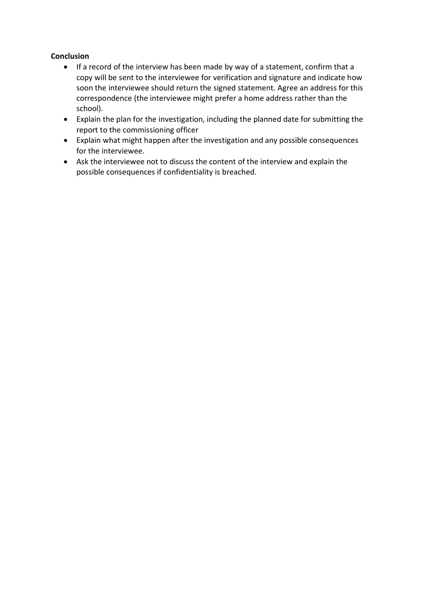# **Conclusion**

- If a record of the interview has been made by way of a statement, confirm that a copy will be sent to the interviewee for verification and signature and indicate how soon the interviewee should return the signed statement. Agree an address for this correspondence (the interviewee might prefer a home address rather than the school).
- Explain the plan for the investigation, including the planned date for submitting the report to the commissioning officer
- Explain what might happen after the investigation and any possible consequences for the interviewee.
- Ask the interviewee not to discuss the content of the interview and explain the possible consequences if confidentiality is breached.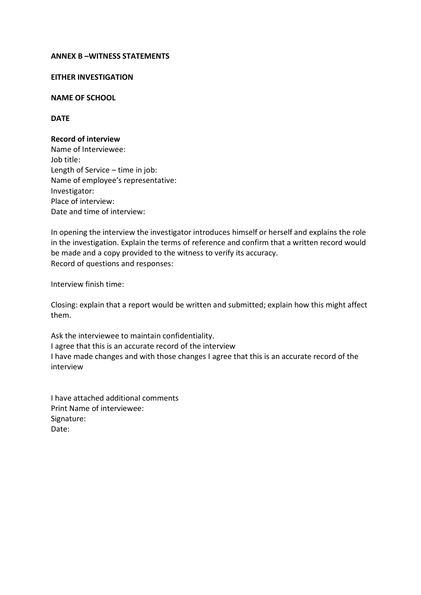#### **ANNEX B –WITNESS STATEMENTS**

#### **EITHER INVESTIGATION**

#### **NAME OF SCHOOL**

#### **DATE**

#### **Record of interview**

Name of Interviewee: Job title: Length of Service – time in job: Name of employee's representative: Investigator: Place of interview: Date and time of interview:

In opening the interview the investigator introduces himself or herself and explains the role in the investigation. Explain the terms of reference and confirm that a written record would be made and a copy provided to the witness to verify its accuracy. Record of questions and responses:

Interview finish time:

Closing: explain that a report would be written and submitted; explain how this might affect them.

Ask the interviewee to maintain confidentiality. I agree that this is an accurate record of the interview I have made changes and with those changes I agree that this is an accurate record of the interview

I have attached additional comments Print Name of interviewee: Signature: Date: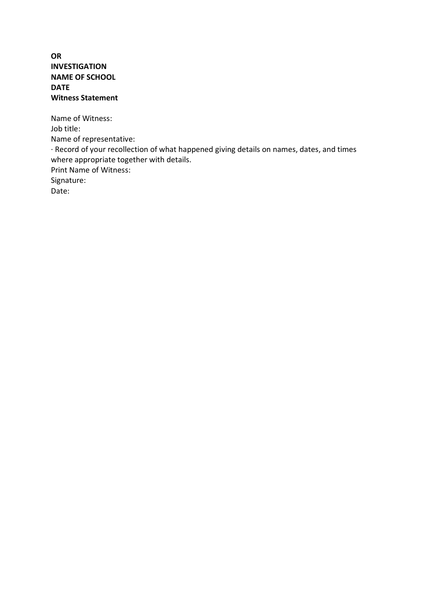## **OR INVESTIGATION NAME OF SCHOOL DATE Witness Statement**

Name of Witness: Job title: Name of representative: · Record of your recollection of what happened giving details on names, dates, and times where appropriate together with details. Print Name of Witness: Signature: Date: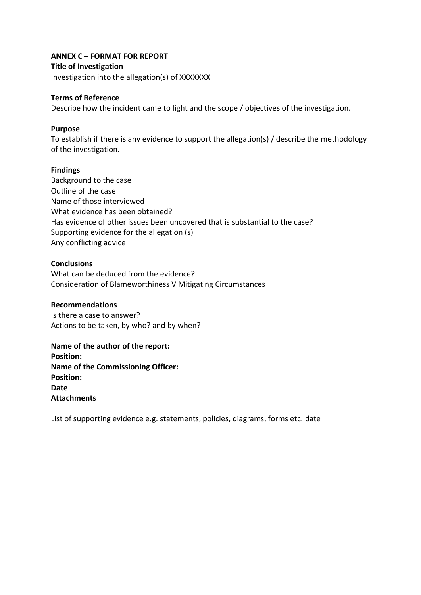### **ANNEX C – FORMAT FOR REPORT**

#### **Title of Investigation**

Investigation into the allegation(s) of XXXXXXX

#### **Terms of Reference**

Describe how the incident came to light and the scope / objectives of the investigation.

#### **Purpose**

To establish if there is any evidence to support the allegation(s) / describe the methodology of the investigation.

#### **Findings**

Background to the case Outline of the case Name of those interviewed What evidence has been obtained? Has evidence of other issues been uncovered that is substantial to the case? Supporting evidence for the allegation (s) Any conflicting advice

#### **Conclusions**

What can be deduced from the evidence? Consideration of Blameworthiness V Mitigating Circumstances

#### **Recommendations**

Is there a case to answer? Actions to be taken, by who? and by when?

**Name of the author of the report: Position: Name of the Commissioning Officer: Position: Date Attachments**

List of supporting evidence e.g. statements, policies, diagrams, forms etc. date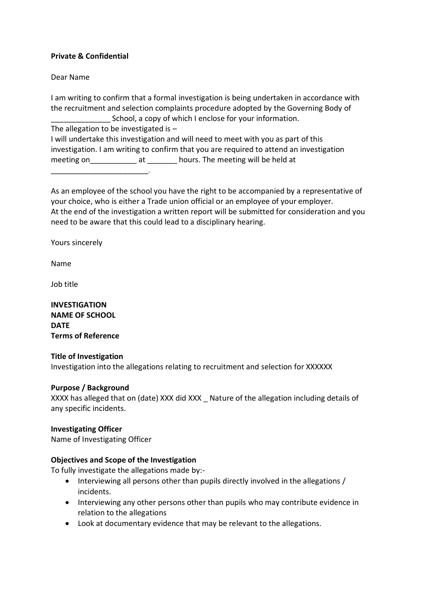### **Private & Confidential**

Dear Name

I am writing to confirm that a formal investigation is being undertaken in accordance with the recruitment and selection complaints procedure adopted by the Governing Body of School, a copy of which I enclose for your information.

The allegation to be investigated is –

I will undertake this investigation and will need to meet with you as part of this investigation. I am writing to confirm that you are required to attend an investigation meeting on\_\_\_\_\_\_\_\_\_\_\_\_\_\_ at \_\_\_\_\_\_\_\_ hours. The meeting will be held at

 $\sim$ 

As an employee of the school you have the right to be accompanied by a representative of your choice, who is either a Trade union official or an employee of your employer. At the end of the investigation a written report will be submitted for consideration and you need to be aware that this could lead to a disciplinary hearing.

Yours sincerely

Name

Job title

**INVESTIGATION NAME OF SCHOOL DATE Terms of Reference**

#### **Title of Investigation**

Investigation into the allegations relating to recruitment and selection for XXXXXX

#### **Purpose / Background**

XXXX has alleged that on (date) XXX did XXX \_ Nature of the allegation including details of any specific incidents.

### **Investigating Officer**

Name of Investigating Officer

### **Objectives and Scope of the Investigation**

To fully investigate the allegations made by:-

- Interviewing all persons other than pupils directly involved in the allegations / incidents.
- Interviewing any other persons other than pupils who may contribute evidence in relation to the allegations
- Look at documentary evidence that may be relevant to the allegations.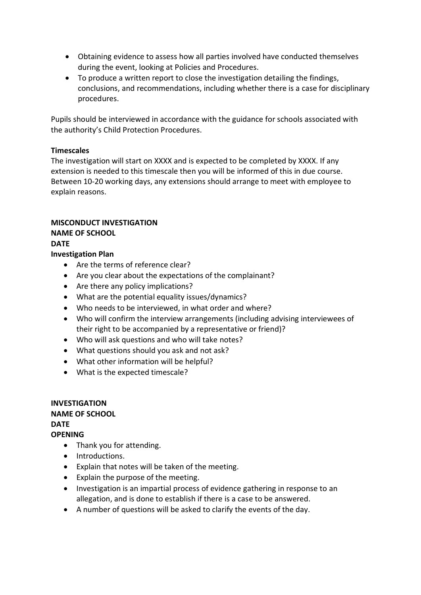- Obtaining evidence to assess how all parties involved have conducted themselves during the event, looking at Policies and Procedures.
- To produce a written report to close the investigation detailing the findings, conclusions, and recommendations, including whether there is a case for disciplinary procedures.

Pupils should be interviewed in accordance with the guidance for schools associated with the authority's Child Protection Procedures.

### **Timescales**

The investigation will start on XXXX and is expected to be completed by XXXX. If any extension is needed to this timescale then you will be informed of this in due course. Between 10-20 working days, any extensions should arrange to meet with employee to explain reasons.

# **MISCONDUCT INVESTIGATION**

# **NAME OF SCHOOL**

**DATE**

### **Investigation Plan**

- Are the terms of reference clear?
- Are you clear about the expectations of the complainant?
- Are there any policy implications?
- What are the potential equality issues/dynamics?
- Who needs to be interviewed, in what order and where?
- Who will confirm the interview arrangements (including advising interviewees of their right to be accompanied by a representative or friend)?
- Who will ask questions and who will take notes?
- What questions should you ask and not ask?
- What other information will be helpful?
- What is the expected timescale?

# **INVESTIGATION NAME OF SCHOOL DATE OPENING**

- Thank you for attending.
- Introductions.
- Explain that notes will be taken of the meeting.
- Explain the purpose of the meeting.
- Investigation is an impartial process of evidence gathering in response to an allegation, and is done to establish if there is a case to be answered.
- A number of questions will be asked to clarify the events of the day.